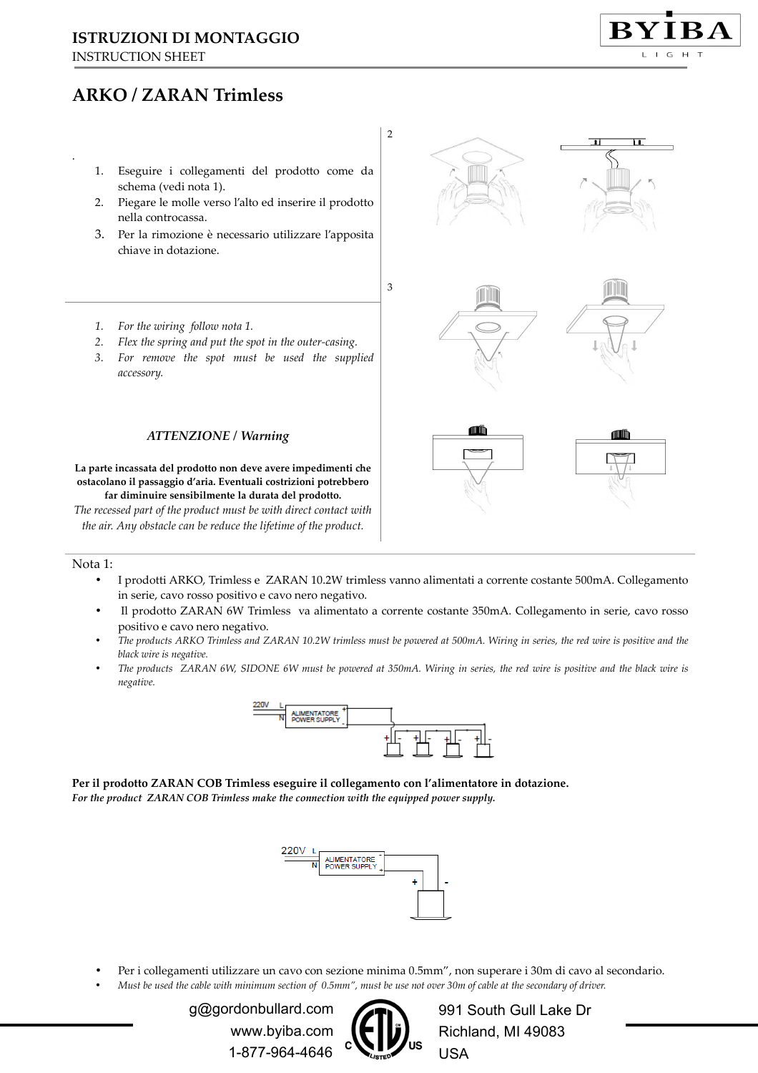# **ISTRUZIONI DI MONTAGGIO**

INSTRUCTION SHEET

.

## **ARKO / ZARAN Trimless**

- 1. Eseguire i collegamenti del prodotto come da schema (vedi nota 1).
- 2. Piegare le molle verso l'alto ed inserire il prodotto nella controcassa.
- 3. Per la rimozione è necessario utilizzare l'apposita chiave in dotazione.



- *1. For the wiring follow nota 1.*
- *2. Flex the spring and put the spot in the outer-casing.*
- *3. For remove the spot must be used the supplied accessory.*

### *ATTENZIONE / Warning*

**La parte incassata del prodotto non deve avere impedimenti che ostacolano il passaggio d'aria. Eventuali costrizioni potrebbero far diminuire sensibilmente la durata del prodotto.** 

*The recessed part of the product must be with direct contact with the air. Any obstacle can be reduce the lifetime of the product.* 

#### Nota 1:

- I prodotti ARKO, Trimless e ZARAN 10.2W trimless vanno alimentati a corrente costante 500mA. Collegamento in serie, cavo rosso positivo e cavo nero negativo.
- Il prodotto ZARAN 6W Trimless va alimentato a corrente costante 350mA. Collegamento in serie, cavo rosso positivo e cavo nero negativo.
- *The products ARKO Trimless and ZARAN 10.2W trimless must be powered at 500mA. Wiring in series, the red wire is positive and the black wire is negative.*
- *The products ZARAN 6W, SIDONE 6W must be powered at 350mA. Wiring in series, the red wire is positive and the black wire is negative.*



**Per il prodotto ZARAN COB Trimless eseguire il collegamento con l'alimentatore in dotazione.**  *For the product ZARAN COB Trimless make the connection with the equipped power supply.* 



• Per i collegamenti utilizzare un cavo con sezione minima 0.5mm", non superare i 30m di cavo al secondario. • *Must be used the cable with minimum section of 0.5mm", must be use not over 30m of cable at the secondary of driver.* 

> g@gordonbullard.com www.byiba.com 1-877-964-4646



991 South Gull Lake Dr Richland, MI 49083 USA